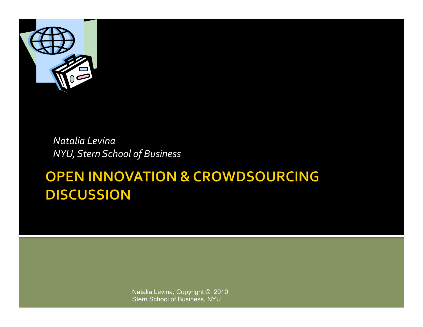

*Natalia&Levina& NYU,&Stern&School&of&Business&*

#### **OPEN INNOVATION & CROWDSOURCING DISCUSSION**

Natalia Levina, Copyright © 2010 Stern School of Business, NYU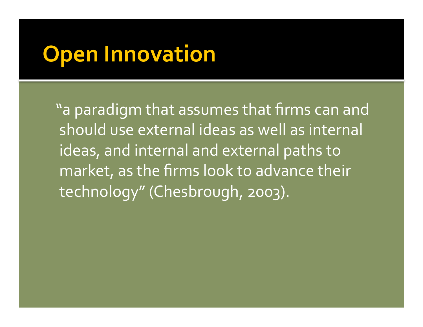## **Open Innovation**

"a paradigm that assumes that firms can and should use external ideas as well as internal ideas, and internal and external paths to market, as the firms look to advance their technology" (Chesbrough, 2003).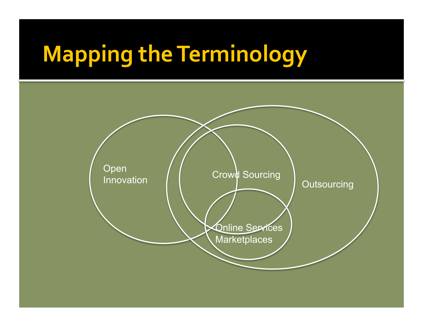# **Mapping the Terminology**

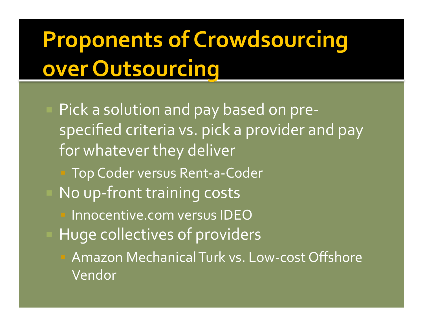## **Proponents of Crowdsourcing over Outsourcing**

Pick a solution and pay based on prespecified criteria vs. pick a provider and pay for whatever they deliver Top Coder versus Rent-a-Coder No up-front training costs Innocentive.com versus IDEO Huge collectives of providers Amazon Mechanical Turk vs. Low-cost Offshore Vendor!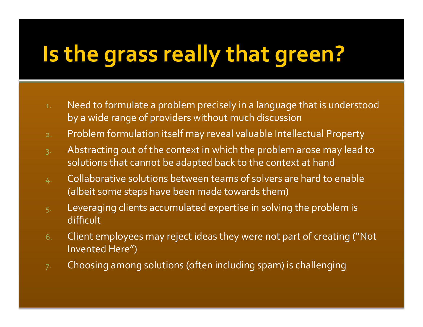# **Is the grass really that green?**

- 1. Need to formulate a problem precisely in a language that is understood by a wide range of providers without much discussion
- 2. Problem formulation itself may reveal valuable Intellectual Property
- $3.$  Abstracting out of the context in which the problem arose may lead to solutions that cannot be adapted back to the context at hand
- $4.$  Collaborative solutions between teams of solvers are hard to enable (albeit some steps have been made towards them)
- $5.$  Leveraging clients accumulated expertise in solving the problem is difficult
- 6. Client employees may reject ideas they were not part of creating ("Not" Invented Here")
- $7.$  Choosing among solutions (often including spam) is challenging